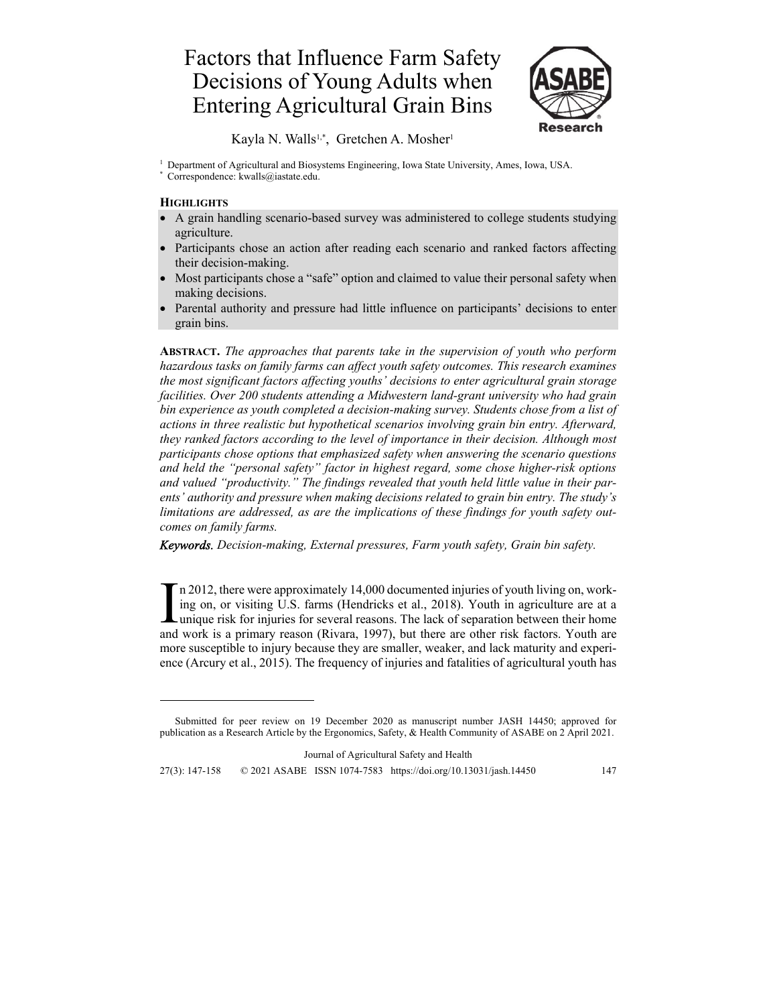# Factors that Influence Farm Safety Decisions of Young Adults when Entering Agricultural Grain Bins



Kayla N. Walls<sup>1,\*</sup>, Gretchen A. Mosher<sup>1</sup>

<sup>1</sup> Department of Agricultural and Biosystems Engineering, Iowa State University, Ames, Iowa, USA.

**\*** Correspondence: kwalls@iastate.edu.

### **HIGHLIGHTS**

- A grain handling scenario-based survey was administered to college students studying agriculture.
- Participants chose an action after reading each scenario and ranked factors affecting their decision-making.
- Most participants chose a "safe" option and claimed to value their personal safety when making decisions.
- Parental authority and pressure had little influence on participants' decisions to enter grain bins.

**ABSTRACT.** *The approaches that parents take in the supervision of youth who perform hazardous tasks on family farms can affect youth safety outcomes. This research examines the most significant factors affecting youths' decisions to enter agricultural grain storage facilities. Over 200 students attending a Midwestern land-grant university who had grain bin experience as youth completed a decision-making survey. Students chose from a list of actions in three realistic but hypothetical scenarios involving grain bin entry. Afterward, they ranked factors according to the level of importance in their decision. Although most participants chose options that emphasized safety when answering the scenario questions and held the "personal safety" factor in highest regard, some chose higher-risk options and valued "productivity." The findings revealed that youth held little value in their parents' authority and pressure when making decisions related to grain bin entry. The study's limitations are addressed, as are the implications of these findings for youth safety outcomes on family farms.* 

*Keywords. Decision-making, External pressures, Farm youth safety, Grain bin safety.* 

n 2012, there were approximately 14,000 documented injuries of youth living on, working on, or visiting U.S. farms (Hendricks et al., 2018). Youth in agriculture are at a In 2012, there were approximately 14,000 documented injuries of youth living on, working on, or visiting U.S. farms (Hendricks et al., 2018). Youth in agriculture are at a unique risk for injuries for several reasons. The and work is a primary reason (Rivara, 1997), but there are other risk factors. Youth are more susceptible to injury because they are smaller, weaker, and lack maturity and experience (Arcury et al., 2015). The frequency of injuries and fatalities of agricultural youth has

Journal of Agricultural Safety and Health

27(3): 147-158 © 2021 ASABE ISSN 1074-7583 https://doi.org/10.13031/jash.14450 147

Submitted for peer review on 19 December 2020 as manuscript number JASH 14450; approved for publication as a Research Article by the Ergonomics, Safety, & Health Community of ASABE on 2 April 2021.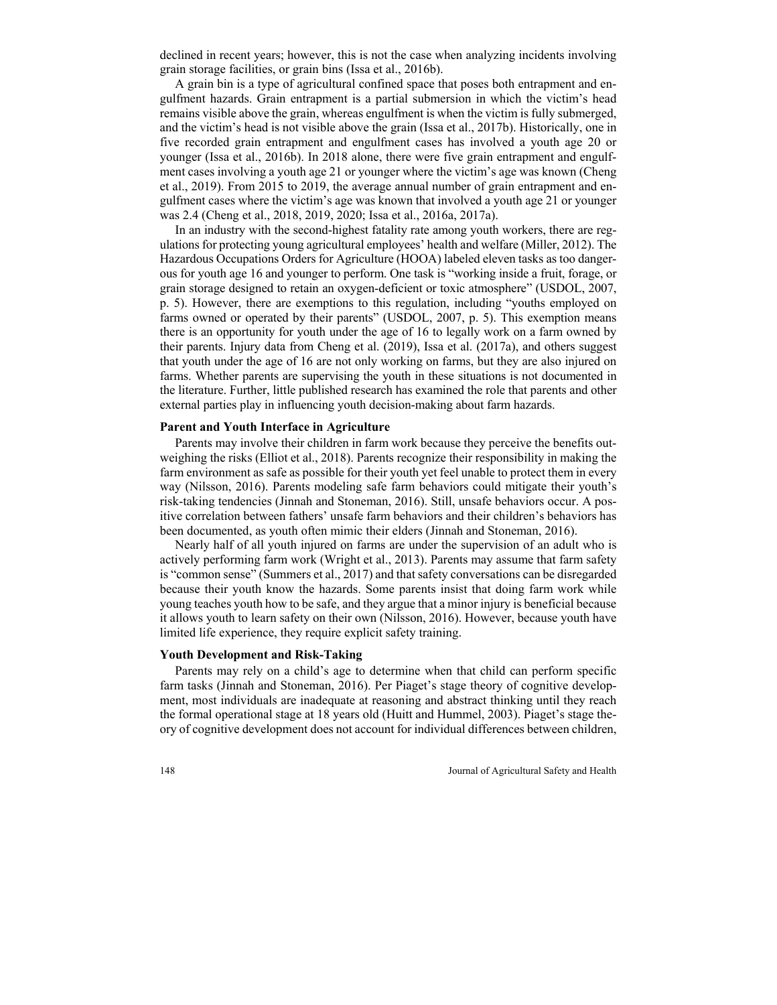declined in recent years; however, this is not the case when analyzing incidents involving grain storage facilities, or grain bins (Issa et al., 2016b).

A grain bin is a type of agricultural confined space that poses both entrapment and engulfment hazards. Grain entrapment is a partial submersion in which the victim's head remains visible above the grain, whereas engulfment is when the victim is fully submerged, and the victim's head is not visible above the grain (Issa et al., 2017b). Historically, one in five recorded grain entrapment and engulfment cases has involved a youth age 20 or younger (Issa et al., 2016b). In 2018 alone, there were five grain entrapment and engulfment cases involving a youth age 21 or younger where the victim's age was known (Cheng et al., 2019). From 2015 to 2019, the average annual number of grain entrapment and engulfment cases where the victim's age was known that involved a youth age 21 or younger was 2.4 (Cheng et al., 2018, 2019, 2020; Issa et al., 2016a, 2017a).

In an industry with the second-highest fatality rate among youth workers, there are regulations for protecting young agricultural employees' health and welfare (Miller, 2012). The Hazardous Occupations Orders for Agriculture (HOOA) labeled eleven tasks as too dangerous for youth age 16 and younger to perform. One task is "working inside a fruit, forage, or grain storage designed to retain an oxygen-deficient or toxic atmosphere" (USDOL, 2007, p. 5). However, there are exemptions to this regulation, including "youths employed on farms owned or operated by their parents" (USDOL, 2007, p. 5). This exemption means there is an opportunity for youth under the age of 16 to legally work on a farm owned by their parents. Injury data from Cheng et al. (2019), Issa et al. (2017a), and others suggest that youth under the age of 16 are not only working on farms, but they are also injured on farms. Whether parents are supervising the youth in these situations is not documented in the literature. Further, little published research has examined the role that parents and other external parties play in influencing youth decision-making about farm hazards.

#### **Parent and Youth Interface in Agriculture**

Parents may involve their children in farm work because they perceive the benefits outweighing the risks (Elliot et al., 2018). Parents recognize their responsibility in making the farm environment as safe as possible for their youth yet feel unable to protect them in every way (Nilsson, 2016). Parents modeling safe farm behaviors could mitigate their youth's risk-taking tendencies (Jinnah and Stoneman, 2016). Still, unsafe behaviors occur. A positive correlation between fathers' unsafe farm behaviors and their children's behaviors has been documented, as youth often mimic their elders (Jinnah and Stoneman, 2016).

Nearly half of all youth injured on farms are under the supervision of an adult who is actively performing farm work (Wright et al., 2013). Parents may assume that farm safety is "common sense" (Summers et al., 2017) and that safety conversations can be disregarded because their youth know the hazards. Some parents insist that doing farm work while young teaches youth how to be safe, and they argue that a minor injury is beneficial because it allows youth to learn safety on their own (Nilsson, 2016). However, because youth have limited life experience, they require explicit safety training.

#### **Youth Development and Risk-Taking**

Parents may rely on a child's age to determine when that child can perform specific farm tasks (Jinnah and Stoneman, 2016). Per Piaget's stage theory of cognitive development, most individuals are inadequate at reasoning and abstract thinking until they reach the formal operational stage at 18 years old (Huitt and Hummel, 2003). Piaget's stage theory of cognitive development does not account for individual differences between children,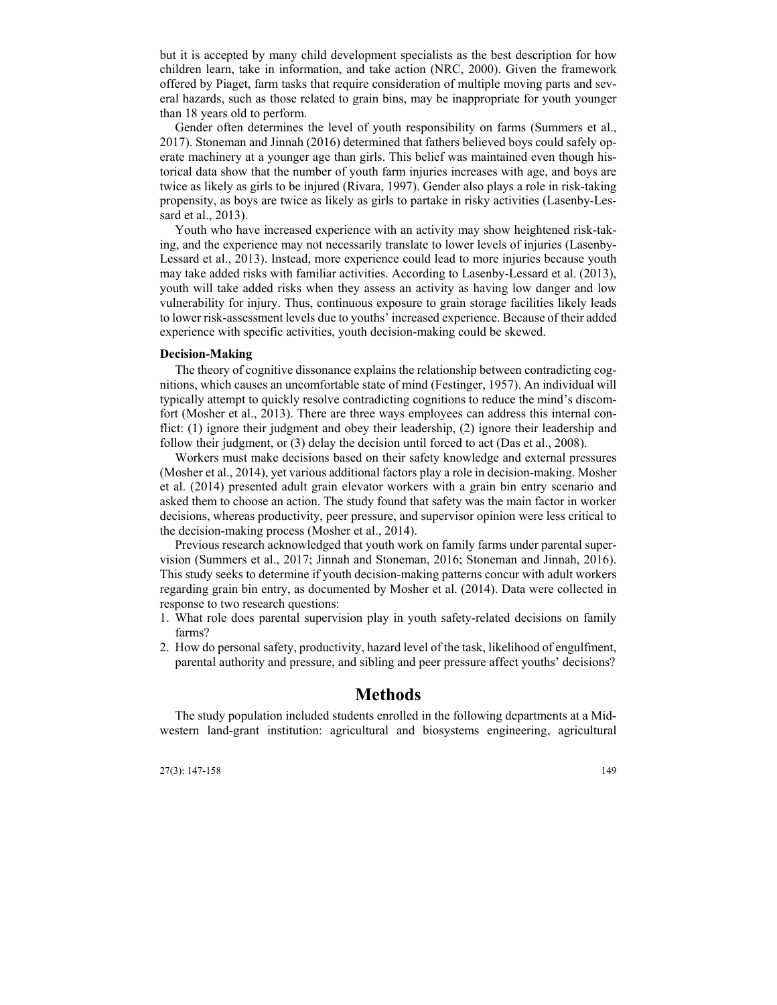but it is accepted by many child development specialists as the best description for how children learn, take in information, and take action (NRC, 2000). Given the framework offered by Piaget, farm tasks that require consideration of multiple moving parts and several hazards, such as those related to grain bins, may be inappropriate for youth younger than 18 years old to perform.

Gender often determines the level of youth responsibility on farms (Summers et al., 2017). Stoneman and Jinnah (2016) determined that fathers believed boys could safely operate machinery at a younger age than girls. This belief was maintained even though historical data show that the number of youth farm injuries increases with age, and boys are twice as likely as girls to be injured (Rivara, 1997). Gender also plays a role in risk-taking propensity, as boys are twice as likely as girls to partake in risky activities (Lasenby-Lessard et al., 2013).

Youth who have increased experience with an activity may show heightened risk-taking, and the experience may not necessarily translate to lower levels of injuries (Lasenby-Lessard et al., 2013). Instead, more experience could lead to more injuries because youth may take added risks with familiar activities. According to Lasenby-Lessard et al. (2013), youth will take added risks when they assess an activity as having low danger and low vulnerability for injury. Thus, continuous exposure to grain storage facilities likely leads to lower risk-assessment levels due to youths' increased experience. Because of their added experience with specific activities, youth decision-making could be skewed.

#### **Decision-Making**

The theory of cognitive dissonance explains the relationship between contradicting cognitions, which causes an uncomfortable state of mind (Festinger, 1957). An individual will typically attempt to quickly resolve contradicting cognitions to reduce the mind's discomfort (Mosher et al., 2013). There are three ways employees can address this internal conflict: (1) ignore their judgment and obey their leadership, (2) ignore their leadership and follow their judgment, or (3) delay the decision until forced to act (Das et al., 2008).

Workers must make decisions based on their safety knowledge and external pressures (Mosher et al., 2014), yet various additional factors play a role in decision-making. Mosher et al. (2014) presented adult grain elevator workers with a grain bin entry scenario and asked them to choose an action. The study found that safety was the main factor in worker decisions, whereas productivity, peer pressure, and supervisor opinion were less critical to the decision-making process (Mosher et al., 2014).

Previous research acknowledged that youth work on family farms under parental supervision (Summers et al., 2017; Jinnah and Stoneman, 2016; Stoneman and Jinnah, 2016). This study seeks to determine if youth decision-making patterns concur with adult workers regarding grain bin entry, as documented by Mosher et al. (2014). Data were collected in response to two research questions:

- 1. What role does parental supervision play in youth safety-related decisions on family farms?
- 2. How do personal safety, productivity, hazard level of the task, likelihood of engulfment, parental authority and pressure, and sibling and peer pressure affect youths' decisions?

### **Methods**

The study population included students enrolled in the following departments at a Midwestern land-grant institution: agricultural and biosystems engineering, agricultural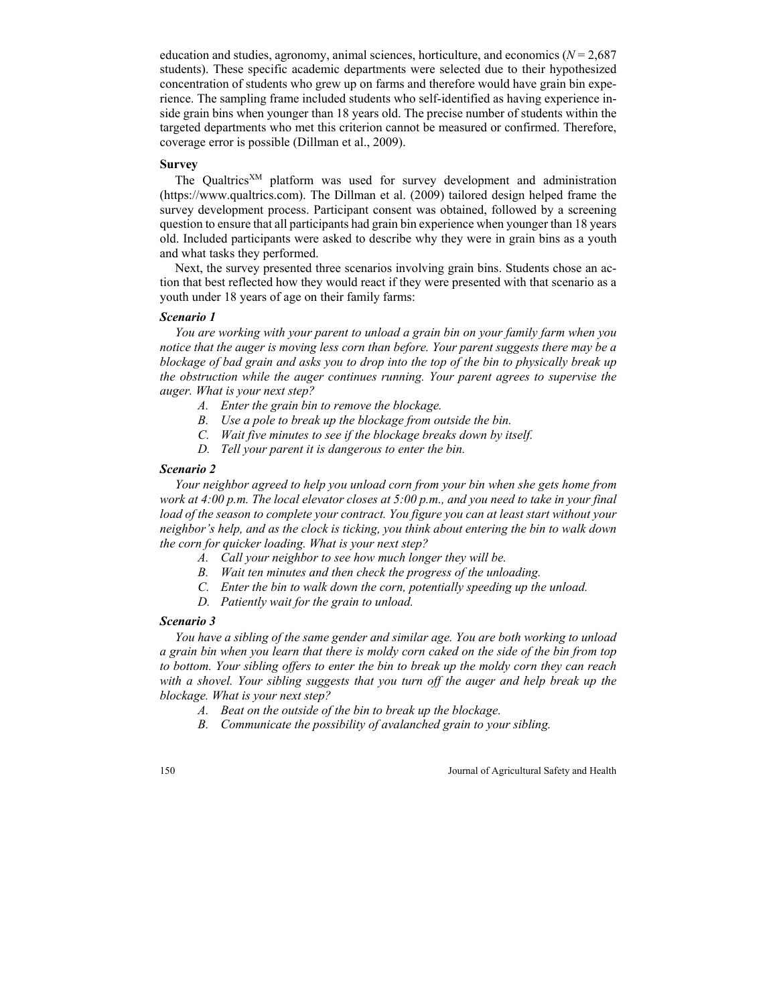education and studies, agronomy, animal sciences, horticulture, and economics ( $N = 2,687$ students). These specific academic departments were selected due to their hypothesized concentration of students who grew up on farms and therefore would have grain bin experience. The sampling frame included students who self-identified as having experience inside grain bins when younger than 18 years old. The precise number of students within the targeted departments who met this criterion cannot be measured or confirmed. Therefore, coverage error is possible (Dillman et al., 2009).

#### **Survey**

The Qualtrics<sup>XM</sup> platform was used for survey development and administration (https://www.qualtrics.com). The Dillman et al. (2009) tailored design helped frame the survey development process. Participant consent was obtained, followed by a screening question to ensure that all participants had grain bin experience when younger than 18 years old. Included participants were asked to describe why they were in grain bins as a youth and what tasks they performed.

Next, the survey presented three scenarios involving grain bins. Students chose an action that best reflected how they would react if they were presented with that scenario as a youth under 18 years of age on their family farms:

#### *Scenario 1*

*You are working with your parent to unload a grain bin on your family farm when you notice that the auger is moving less corn than before. Your parent suggests there may be a blockage of bad grain and asks you to drop into the top of the bin to physically break up the obstruction while the auger continues running. Your parent agrees to supervise the auger. What is your next step?* 

- *A. Enter the grain bin to remove the blockage.*
- *B. Use a pole to break up the blockage from outside the bin.*
- *C. Wait five minutes to see if the blockage breaks down by itself.*
- *D. Tell your parent it is dangerous to enter the bin.*

#### *Scenario 2*

*Your neighbor agreed to help you unload corn from your bin when she gets home from work at 4:00 p.m. The local elevator closes at 5:00 p.m., and you need to take in your final load of the season to complete your contract. You figure you can at least start without your neighbor's help, and as the clock is ticking, you think about entering the bin to walk down the corn for quicker loading. What is your next step?* 

- *A. Call your neighbor to see how much longer they will be.*
- *B. Wait ten minutes and then check the progress of the unloading.*
- *C. Enter the bin to walk down the corn, potentially speeding up the unload.*
- *D. Patiently wait for the grain to unload.*

#### *Scenario 3*

*You have a sibling of the same gender and similar age. You are both working to unload a grain bin when you learn that there is moldy corn caked on the side of the bin from top to bottom. Your sibling offers to enter the bin to break up the moldy corn they can reach with a shovel. Your sibling suggests that you turn off the auger and help break up the blockage. What is your next step?* 

- *A. Beat on the outside of the bin to break up the blockage.*
- *B. Communicate the possibility of avalanched grain to your sibling.*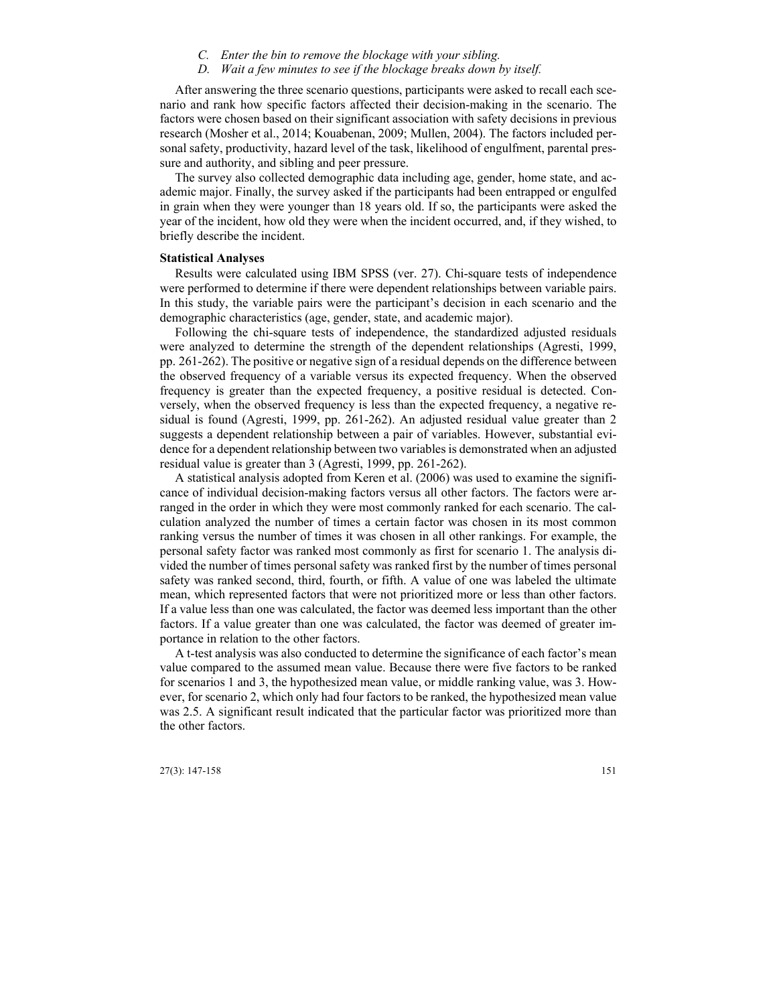- *C. Enter the bin to remove the blockage with your sibling.*
- *D. Wait a few minutes to see if the blockage breaks down by itself.*

After answering the three scenario questions, participants were asked to recall each scenario and rank how specific factors affected their decision-making in the scenario. The factors were chosen based on their significant association with safety decisions in previous research (Mosher et al., 2014; Kouabenan, 2009; Mullen, 2004). The factors included personal safety, productivity, hazard level of the task, likelihood of engulfment, parental pressure and authority, and sibling and peer pressure.

The survey also collected demographic data including age, gender, home state, and academic major. Finally, the survey asked if the participants had been entrapped or engulfed in grain when they were younger than 18 years old. If so, the participants were asked the year of the incident, how old they were when the incident occurred, and, if they wished, to briefly describe the incident.

#### **Statistical Analyses**

Results were calculated using IBM SPSS (ver. 27). Chi-square tests of independence were performed to determine if there were dependent relationships between variable pairs. In this study, the variable pairs were the participant's decision in each scenario and the demographic characteristics (age, gender, state, and academic major).

Following the chi-square tests of independence, the standardized adjusted residuals were analyzed to determine the strength of the dependent relationships (Agresti, 1999, pp. 261-262). The positive or negative sign of a residual depends on the difference between the observed frequency of a variable versus its expected frequency. When the observed frequency is greater than the expected frequency, a positive residual is detected. Conversely, when the observed frequency is less than the expected frequency, a negative residual is found (Agresti, 1999, pp. 261-262). An adjusted residual value greater than 2 suggests a dependent relationship between a pair of variables. However, substantial evidence for a dependent relationship between two variables is demonstrated when an adjusted residual value is greater than 3 (Agresti, 1999, pp. 261-262).

A statistical analysis adopted from Keren et al. (2006) was used to examine the significance of individual decision-making factors versus all other factors. The factors were arranged in the order in which they were most commonly ranked for each scenario. The calculation analyzed the number of times a certain factor was chosen in its most common ranking versus the number of times it was chosen in all other rankings. For example, the personal safety factor was ranked most commonly as first for scenario 1. The analysis divided the number of times personal safety was ranked first by the number of times personal safety was ranked second, third, fourth, or fifth. A value of one was labeled the ultimate mean, which represented factors that were not prioritized more or less than other factors. If a value less than one was calculated, the factor was deemed less important than the other factors. If a value greater than one was calculated, the factor was deemed of greater importance in relation to the other factors.

A t-test analysis was also conducted to determine the significance of each factor's mean value compared to the assumed mean value. Because there were five factors to be ranked for scenarios 1 and 3, the hypothesized mean value, or middle ranking value, was 3. However, for scenario 2, which only had four factors to be ranked, the hypothesized mean value was 2.5. A significant result indicated that the particular factor was prioritized more than the other factors.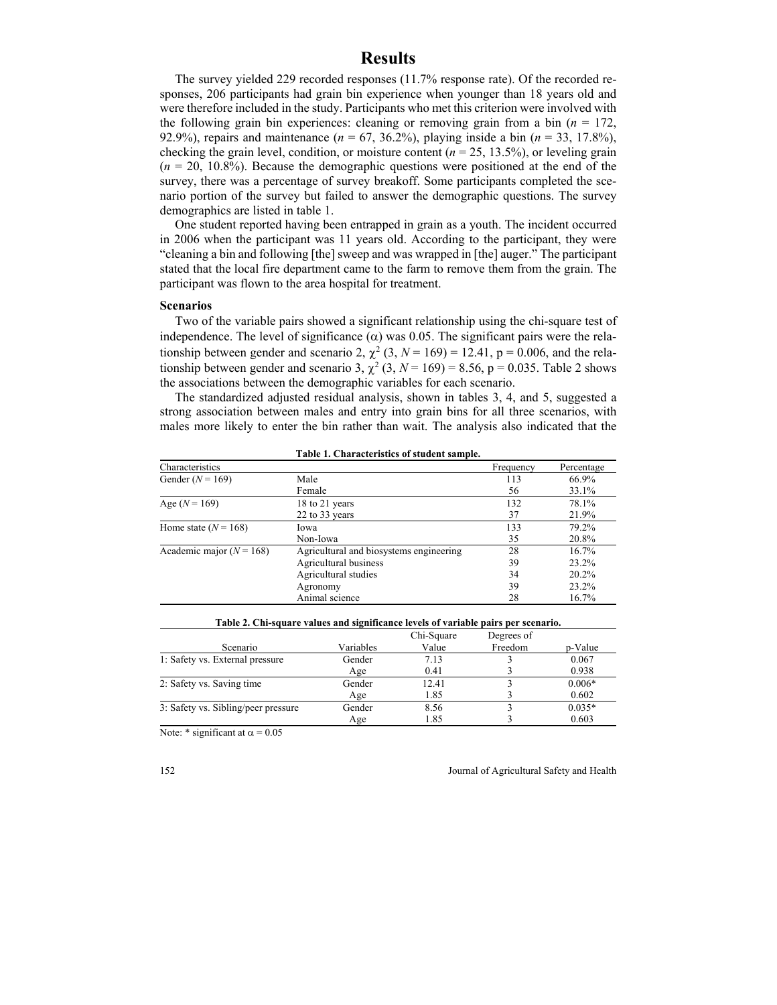## **Results**

The survey yielded 229 recorded responses (11.7% response rate). Of the recorded responses, 206 participants had grain bin experience when younger than 18 years old and were therefore included in the study. Participants who met this criterion were involved with the following grain bin experiences: cleaning or removing grain from a bin  $(n = 172)$ , 92.9%), repairs and maintenance (*n* = 67, 36.2%), playing inside a bin (*n* = 33, 17.8%), checking the grain level, condition, or moisture content  $(n = 25, 13.5\%)$ , or leveling grain (*n* = 20, 10.8%). Because the demographic questions were positioned at the end of the survey, there was a percentage of survey breakoff. Some participants completed the scenario portion of the survey but failed to answer the demographic questions. The survey demographics are listed in table 1.

One student reported having been entrapped in grain as a youth. The incident occurred in 2006 when the participant was 11 years old. According to the participant, they were "cleaning a bin and following [the] sweep and was wrapped in [the] auger." The participant stated that the local fire department came to the farm to remove them from the grain. The participant was flown to the area hospital for treatment.

#### **Scenarios**

Two of the variable pairs showed a significant relationship using the chi-square test of independence. The level of significance  $(\alpha)$  was 0.05. The significant pairs were the relationship between gender and scenario 2,  $\chi^2$  (3,  $N = 169$ ) = 12.41, p = 0.006, and the relationship between gender and scenario 3,  $\chi^2$  (3,  $N = 169$ ) = 8.56, p = 0.035. Table 2 shows the associations between the demographic variables for each scenario.

The standardized adjusted residual analysis, shown in tables 3, 4, and 5, suggested a strong association between males and entry into grain bins for all three scenarios, with males more likely to enter the bin rather than wait. The analysis also indicated that the

| Characteristics              |                                         | Frequency | Percentage |
|------------------------------|-----------------------------------------|-----------|------------|
| Gender $(N = 169)$           | Male                                    | 113       | 66.9%      |
|                              | Female                                  | 56        | 33.1%      |
| Age $(N = 169)$              | 18 to 21 years                          | 132       | 78.1%      |
|                              | 22 to 33 years                          | 37        | 21.9%      |
| Home state $(N = 168)$       | Iowa                                    | 133       | 79.2%      |
|                              | Non-Iowa                                | 35        | 20.8%      |
| Academic major ( $N = 168$ ) | Agricultural and biosystems engineering | 28        | 16.7%      |
|                              | Agricultural business                   | 39        | 23.2%      |
|                              | Agricultural studies                    | 34        | 20.2%      |
|                              | Agronomy                                | 39        | 23.2%      |
|                              | Animal science                          | 28        | 16.7%      |

**Table 1. Characteristics of student sample.** 

|                                     |           | Chi-Square | Degrees of |          |
|-------------------------------------|-----------|------------|------------|----------|
| Scenario                            | Variables | Value      | Freedom    | p-Value  |
| 1: Safety vs. External pressure     | Gender    | 7.13       |            | 0.067    |
|                                     | Age       | 0.41       |            | 0.938    |
| 2: Safety vs. Saving time           | Gender    | 12.41      |            | $0.006*$ |
|                                     | Age       | 1.85       |            | 0.602    |
| 3: Safety vs. Sibling/peer pressure | Gender    | 8.56       |            | $0.035*$ |
|                                     | Age       | 1.85       |            | 0.603    |

**Table 2. Chi-square values and significance levels of variable pairs per scenario.** 

Note: \* significant at  $\alpha = 0.05$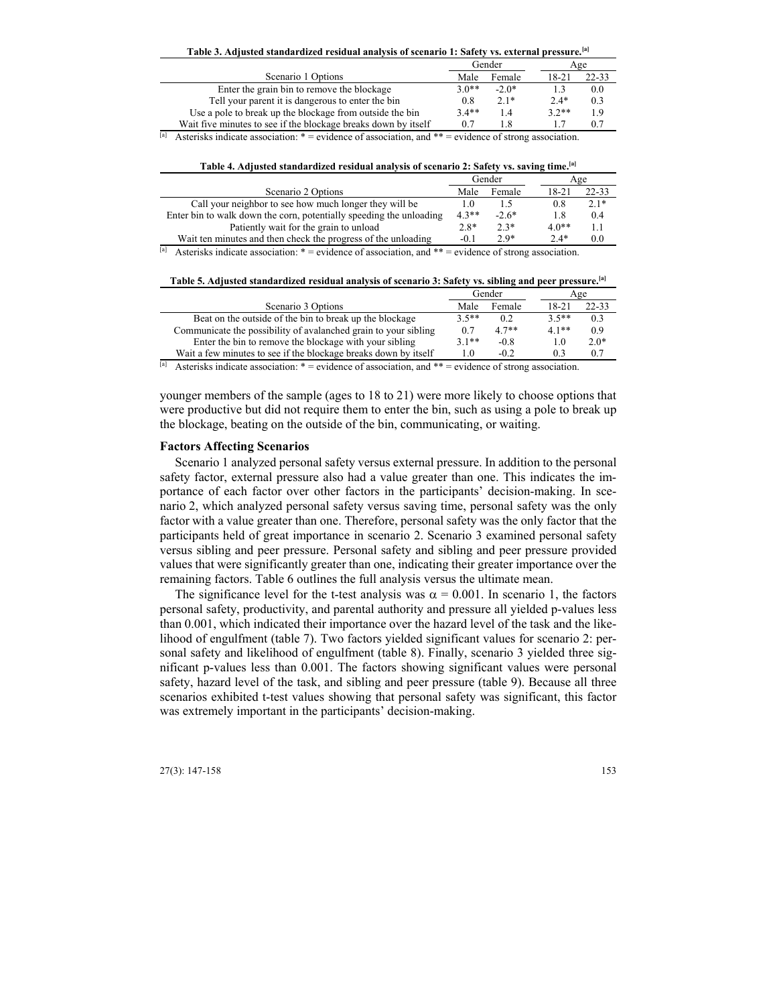**Table 3. Adjusted standardized residual analysis of scenario 1: Safety vs. external pressure.[a]**

|                                                                | Gender  |         |         | Age   |
|----------------------------------------------------------------|---------|---------|---------|-------|
| Scenario 1 Options                                             |         | Female  | 18-21   | 22-33 |
| Enter the grain bin to remove the blockage                     | $3.0**$ | $-2.0*$ |         | 0.0   |
| Tell your parent it is dangerous to enter the bin              | 0.8     | $2.1*$  | $2.4*$  | 0.3   |
| Use a pole to break up the blockage from outside the bin       | $3.4**$ | 1.4     | $3.2**$ | 1.9   |
| Wait five minutes to see if the blockage breaks down by itself |         |         |         |       |

<sup>[a]</sup> Asterisks indicate association: \* = evidence of association, and \*\* = evidence of strong association.

| Table 4. Adjusted standardized residual analysis of scenario 2: Safety vs. saving time."" |              |               |               |                   |  |
|-------------------------------------------------------------------------------------------|--------------|---------------|---------------|-------------------|--|
|                                                                                           | Gender       |               |               | Age               |  |
| Scenario 2 Options                                                                        | Male         | Female        | 18-21         | $22 - 33$         |  |
| Call your neighbor to see how much longer they will be                                    |              |               | 0.8           | $2.1*$            |  |
| Enter bin to walk down the corn, potentially speeding the unloading                       |              | $-2.6*$       | 1.8           | 0.4               |  |
| Patiently wait for the grain to unload                                                    | $2.8*$       | $2.3*$        | 4.0**         | 1.1               |  |
| $\mathbf{v}$<br>$\mathcal{L}$ , and the set of $\mathcal{L}$                              | $^{\circ}$ 1 | $\sim$ $\sim$ | $\sim$ $\sim$ | $\wedge$ $\wedge$ |  |

**Table 4. Adjusted standardized residual analysis of scenario 2: Safety vs. saving time.[a]**

Wait ten minutes and then check the progress of the unloading  $-0.1$   $2.9^*$   $2.4^*$  0.0  $[9]$  Asterisks indicate association: \* = evidence of association, and \*\* = evidence of strong association.

**Table 5. Adjusted standardized residual analysis of scenario 3: Safety vs. sibling and peer pressure.[a]**

|                                                                 | Gender  |         |           | Age       |
|-----------------------------------------------------------------|---------|---------|-----------|-----------|
| Scenario 3 Options                                              | Male    | Female  | $18 - 21$ | $22 - 33$ |
| Beat on the outside of the bin to break up the blockage         | $3.5**$ | 0.2     | $3.5**$   | 0.3       |
| Communicate the possibility of avalanched grain to your sibling | 0.7     | $4.7**$ | $4.1**$   | 0.9       |
| Enter the bin to remove the blockage with your sibling          | $3.1**$ | $-0.8$  | 1.0       | $2.0*$    |
| Wait a few minutes to see if the blockage breaks down by itself |         | $-0.2$  | 0.3       | 0.7       |

<sup>[a]</sup> Asterisks indicate association: \* = evidence of association, and \*\* = evidence of strong association.

younger members of the sample (ages to 18 to 21) were more likely to choose options that were productive but did not require them to enter the bin, such as using a pole to break up the blockage, beating on the outside of the bin, communicating, or waiting.

#### **Factors Affecting Scenarios**

Scenario 1 analyzed personal safety versus external pressure. In addition to the personal safety factor, external pressure also had a value greater than one. This indicates the importance of each factor over other factors in the participants' decision-making. In scenario 2, which analyzed personal safety versus saving time, personal safety was the only factor with a value greater than one. Therefore, personal safety was the only factor that the participants held of great importance in scenario 2. Scenario 3 examined personal safety versus sibling and peer pressure. Personal safety and sibling and peer pressure provided values that were significantly greater than one, indicating their greater importance over the remaining factors. Table 6 outlines the full analysis versus the ultimate mean.

The significance level for the t-test analysis was  $\alpha = 0.001$ . In scenario 1, the factors personal safety, productivity, and parental authority and pressure all yielded p-values less than 0.001, which indicated their importance over the hazard level of the task and the likelihood of engulfment (table 7). Two factors yielded significant values for scenario 2: personal safety and likelihood of engulfment (table 8). Finally, scenario 3 yielded three significant p-values less than 0.001. The factors showing significant values were personal safety, hazard level of the task, and sibling and peer pressure (table 9). Because all three scenarios exhibited t-test values showing that personal safety was significant, this factor was extremely important in the participants' decision-making.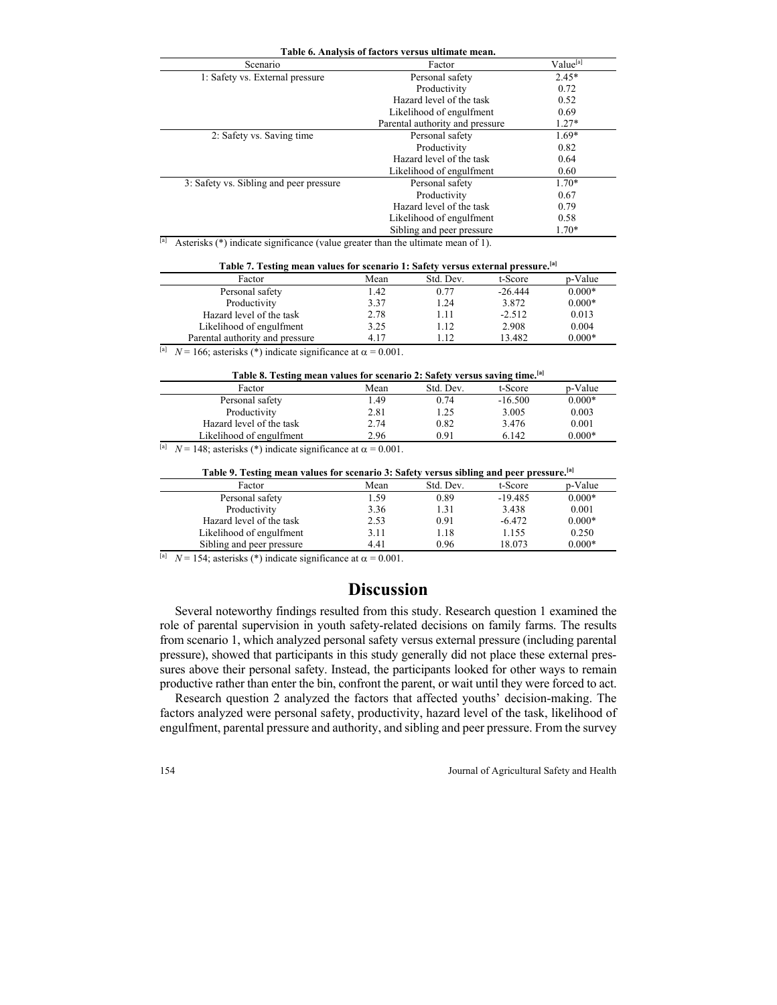| Table 6. Analysis of factors versus ultimate mean. |                                 |         |  |  |  |
|----------------------------------------------------|---------------------------------|---------|--|--|--|
| Value <sup>[a]</sup><br>Scenario<br>Factor         |                                 |         |  |  |  |
| 1: Safety vs. External pressure                    | Personal safety                 | $2.45*$ |  |  |  |
|                                                    | Productivity                    | 0.72    |  |  |  |
|                                                    | Hazard level of the task        | 0.52    |  |  |  |
|                                                    | Likelihood of engulfment        | 0.69    |  |  |  |
|                                                    | Parental authority and pressure | $1.27*$ |  |  |  |
| 2: Safety vs. Saving time                          | Personal safety                 | $1.69*$ |  |  |  |
|                                                    | Productivity                    | 0.82    |  |  |  |
|                                                    | Hazard level of the task        | 0.64    |  |  |  |
|                                                    | Likelihood of engulfment        | 0.60    |  |  |  |
| 3: Safety vs. Sibling and peer pressure            | Personal safety                 | $1.70*$ |  |  |  |
|                                                    | Productivity                    | 0.67    |  |  |  |
|                                                    | Hazard level of the task        | 0.79    |  |  |  |
|                                                    | Likelihood of engulfment        | 0.58    |  |  |  |
|                                                    | Sibling and peer pressure       | $1.70*$ |  |  |  |

 $\frac{[a]}{[a]}$  Asterisks (\*) indicate significance (value greater than the ultimate mean of 1).

| Table 7. Testing mean values for scenario 1: Safety versus external pressure. [a] |  |
|-----------------------------------------------------------------------------------|--|
|-----------------------------------------------------------------------------------|--|

| Factor                          | Mean | Std. Dev. | t-Score   | p-Value  |
|---------------------------------|------|-----------|-----------|----------|
| Personal safety                 | 1.42 | 0.77      | $-26.444$ | $0.000*$ |
| Productivity                    | 3.37 | 1.24      | 3.872     | $0.000*$ |
| Hazard level of the task        | 2.78 | 1.11      | $-2.512$  | 0.013    |
| Likelihood of engulfment        | 3.25 | 1.12      | 2.908     | 0.004    |
| Parental authority and pressure | 4.17 | 112       | 13.482    | $0.000*$ |
|                                 |      |           |           |          |

<sup>[a]</sup>  $N = 166$ ; asterisks (\*) indicate significance at  $\alpha = 0.001$ .

| Table 8. Testing mean values for scenario 2: Safety versus saving time. <sup>[a]</sup> |      |           |           |          |  |
|----------------------------------------------------------------------------------------|------|-----------|-----------|----------|--|
| Factor                                                                                 | Mean | Std. Dev. | t-Score   | p-Value  |  |
| Personal safety                                                                        | .49  | 0.74      | $-16.500$ | $0.000*$ |  |
| Productivity                                                                           | 2.81 | 1.25      | 3.005     | 0.003    |  |
| Hazard level of the task                                                               | 2.74 | 0.82      | 3.476     | 0.001    |  |
| Likelihood of engulfment                                                               | 2.96 | 0.91      | 6.142     | $0.000*$ |  |

<sup>[a]</sup>  $N = 148$ ; asterisks (\*) indicate significance at  $\alpha = 0.001$ .

| Table 9. Testing mean values for scenario 3: Safety versus sibling and peer pressure. <sup>[a]</sup> |      |           |           |          |  |
|------------------------------------------------------------------------------------------------------|------|-----------|-----------|----------|--|
| Factor                                                                                               | Mean | Std. Dev. | t-Score   | p-Value  |  |
| Personal safety                                                                                      | l.59 | 0.89      | $-19.485$ | $0.000*$ |  |
| Productivity                                                                                         | 3.36 | 1.31      | 3.438     | 0.001    |  |
| Hazard level of the task                                                                             | 2.53 | 0.91      | $-6.472$  | $0.000*$ |  |
| Likelihood of engulfment                                                                             | 3.11 | 1.18      | 1.155     | 0.250    |  |
| Sibling and peer pressure<br>. .                                                                     | 4.41 | 0.96      | 18.073    | $0.000*$ |  |

<sup>[a]</sup> *N* = 154; asterisks (\*) indicate significance at  $\alpha$  = 0.001.

### **Discussion**

Several noteworthy findings resulted from this study. Research question 1 examined the role of parental supervision in youth safety-related decisions on family farms. The results from scenario 1, which analyzed personal safety versus external pressure (including parental pressure), showed that participants in this study generally did not place these external pressures above their personal safety. Instead, the participants looked for other ways to remain productive rather than enter the bin, confront the parent, or wait until they were forced to act.

Research question 2 analyzed the factors that affected youths' decision-making. The factors analyzed were personal safety, productivity, hazard level of the task, likelihood of engulfment, parental pressure and authority, and sibling and peer pressure. From the survey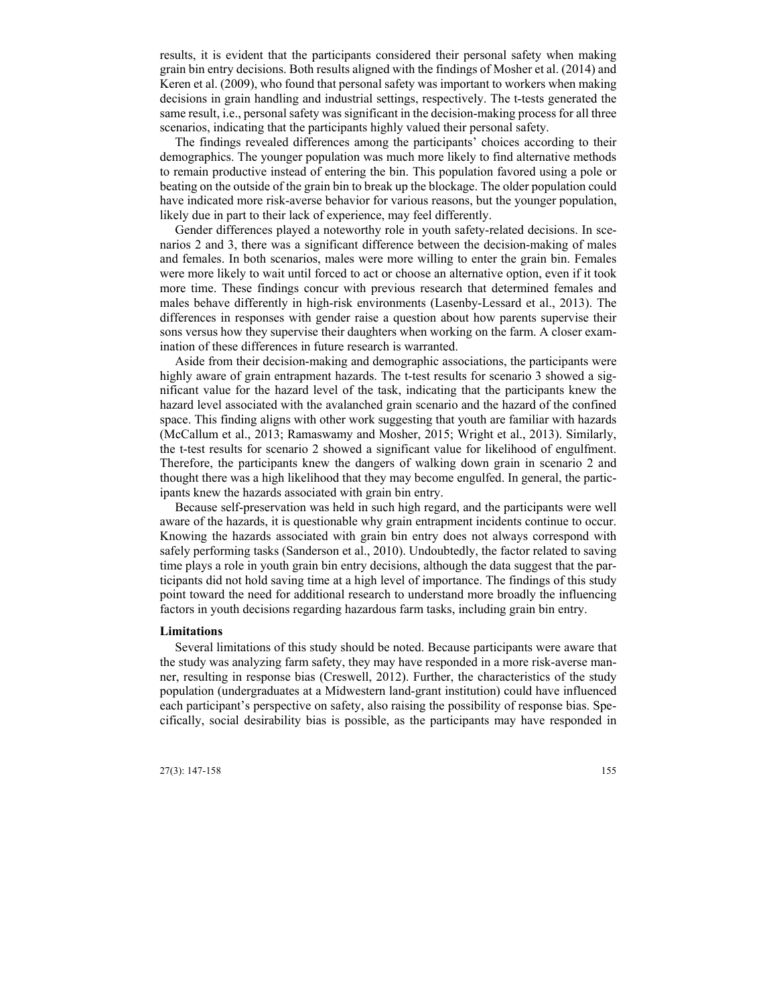results, it is evident that the participants considered their personal safety when making grain bin entry decisions. Both results aligned with the findings of Mosher et al. (2014) and Keren et al. (2009), who found that personal safety was important to workers when making decisions in grain handling and industrial settings, respectively. The t-tests generated the same result, i.e., personal safety was significant in the decision-making process for all three scenarios, indicating that the participants highly valued their personal safety.

The findings revealed differences among the participants' choices according to their demographics. The younger population was much more likely to find alternative methods to remain productive instead of entering the bin. This population favored using a pole or beating on the outside of the grain bin to break up the blockage. The older population could have indicated more risk-averse behavior for various reasons, but the younger population, likely due in part to their lack of experience, may feel differently.

Gender differences played a noteworthy role in youth safety-related decisions. In scenarios 2 and 3, there was a significant difference between the decision-making of males and females. In both scenarios, males were more willing to enter the grain bin. Females were more likely to wait until forced to act or choose an alternative option, even if it took more time. These findings concur with previous research that determined females and males behave differently in high-risk environments (Lasenby-Lessard et al., 2013). The differences in responses with gender raise a question about how parents supervise their sons versus how they supervise their daughters when working on the farm. A closer examination of these differences in future research is warranted.

Aside from their decision-making and demographic associations, the participants were highly aware of grain entrapment hazards. The t-test results for scenario 3 showed a significant value for the hazard level of the task, indicating that the participants knew the hazard level associated with the avalanched grain scenario and the hazard of the confined space. This finding aligns with other work suggesting that youth are familiar with hazards (McCallum et al., 2013; Ramaswamy and Mosher, 2015; Wright et al., 2013). Similarly, the t-test results for scenario 2 showed a significant value for likelihood of engulfment. Therefore, the participants knew the dangers of walking down grain in scenario 2 and thought there was a high likelihood that they may become engulfed. In general, the participants knew the hazards associated with grain bin entry.

Because self-preservation was held in such high regard, and the participants were well aware of the hazards, it is questionable why grain entrapment incidents continue to occur. Knowing the hazards associated with grain bin entry does not always correspond with safely performing tasks (Sanderson et al., 2010). Undoubtedly, the factor related to saving time plays a role in youth grain bin entry decisions, although the data suggest that the participants did not hold saving time at a high level of importance. The findings of this study point toward the need for additional research to understand more broadly the influencing factors in youth decisions regarding hazardous farm tasks, including grain bin entry.

#### **Limitations**

Several limitations of this study should be noted. Because participants were aware that the study was analyzing farm safety, they may have responded in a more risk-averse manner, resulting in response bias (Creswell, 2012). Further, the characteristics of the study population (undergraduates at a Midwestern land-grant institution) could have influenced each participant's perspective on safety, also raising the possibility of response bias. Specifically, social desirability bias is possible, as the participants may have responded in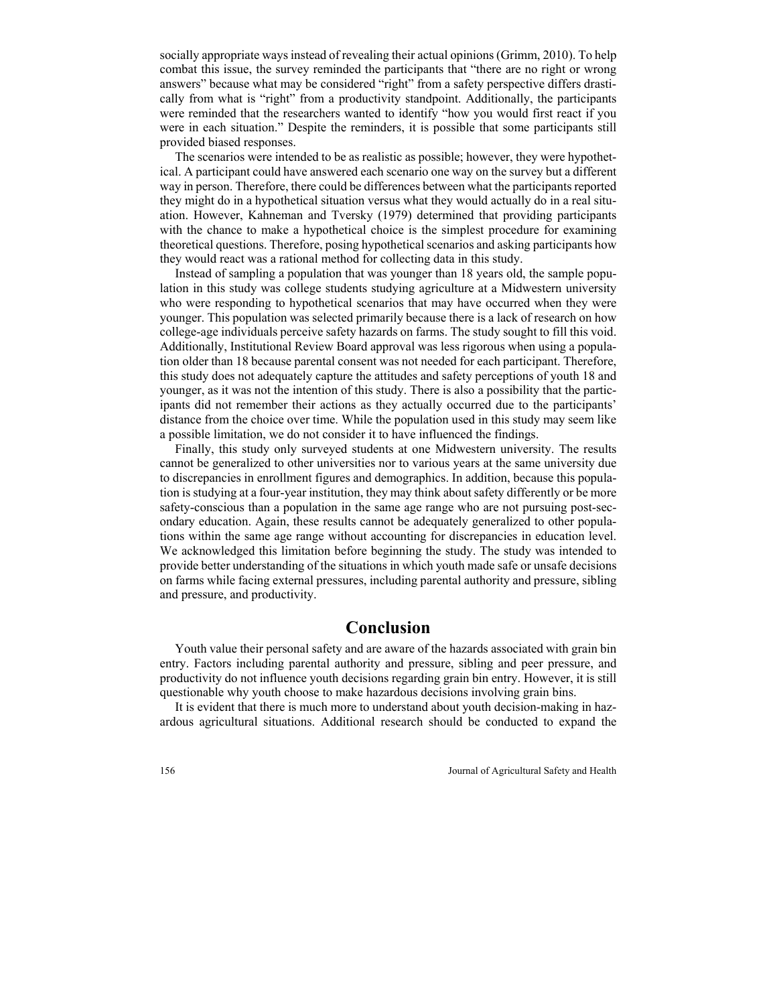socially appropriate ways instead of revealing their actual opinions (Grimm, 2010). To help combat this issue, the survey reminded the participants that "there are no right or wrong answers" because what may be considered "right" from a safety perspective differs drastically from what is "right" from a productivity standpoint. Additionally, the participants were reminded that the researchers wanted to identify "how you would first react if you were in each situation." Despite the reminders, it is possible that some participants still provided biased responses.

The scenarios were intended to be as realistic as possible; however, they were hypothetical. A participant could have answered each scenario one way on the survey but a different way in person. Therefore, there could be differences between what the participants reported they might do in a hypothetical situation versus what they would actually do in a real situation. However, Kahneman and Tversky (1979) determined that providing participants with the chance to make a hypothetical choice is the simplest procedure for examining theoretical questions. Therefore, posing hypothetical scenarios and asking participants how they would react was a rational method for collecting data in this study.

Instead of sampling a population that was younger than 18 years old, the sample population in this study was college students studying agriculture at a Midwestern university who were responding to hypothetical scenarios that may have occurred when they were younger. This population was selected primarily because there is a lack of research on how college-age individuals perceive safety hazards on farms. The study sought to fill this void. Additionally, Institutional Review Board approval was less rigorous when using a population older than 18 because parental consent was not needed for each participant. Therefore, this study does not adequately capture the attitudes and safety perceptions of youth 18 and younger, as it was not the intention of this study. There is also a possibility that the participants did not remember their actions as they actually occurred due to the participants' distance from the choice over time. While the population used in this study may seem like a possible limitation, we do not consider it to have influenced the findings.

Finally, this study only surveyed students at one Midwestern university. The results cannot be generalized to other universities nor to various years at the same university due to discrepancies in enrollment figures and demographics. In addition, because this population is studying at a four-year institution, they may think about safety differently or be more safety-conscious than a population in the same age range who are not pursuing post-secondary education. Again, these results cannot be adequately generalized to other populations within the same age range without accounting for discrepancies in education level. We acknowledged this limitation before beginning the study. The study was intended to provide better understanding of the situations in which youth made safe or unsafe decisions on farms while facing external pressures, including parental authority and pressure, sibling and pressure, and productivity.

# **Conclusion**

Youth value their personal safety and are aware of the hazards associated with grain bin entry. Factors including parental authority and pressure, sibling and peer pressure, and productivity do not influence youth decisions regarding grain bin entry. However, it is still questionable why youth choose to make hazardous decisions involving grain bins.

It is evident that there is much more to understand about youth decision-making in hazardous agricultural situations. Additional research should be conducted to expand the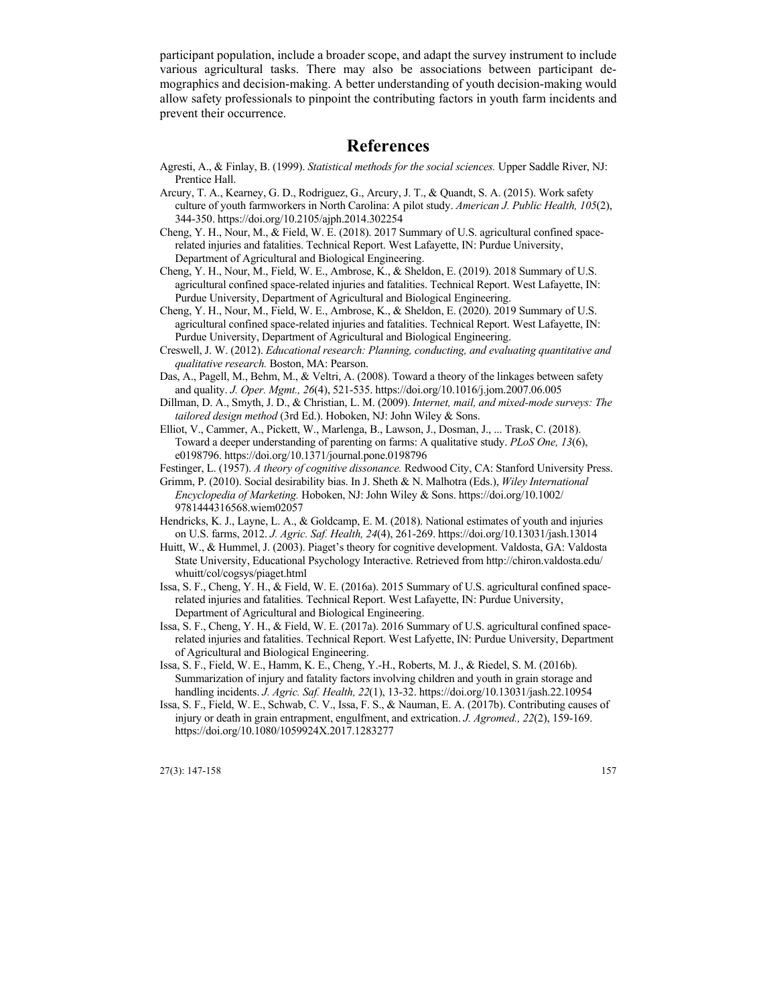participant population, include a broader scope, and adapt the survey instrument to include various agricultural tasks. There may also be associations between participant demographics and decision-making. A better understanding of youth decision-making would allow safety professionals to pinpoint the contributing factors in youth farm incidents and prevent their occurrence.

# **References**

- Agresti, A., & Finlay, B. (1999). *Statistical methods for the social sciences.* Upper Saddle River, NJ: Prentice Hall.
- Arcury, T. A., Kearney, G. D., Rodriguez, G., Arcury, J. T., & Quandt, S. A. (2015). Work safety culture of youth farmworkers in North Carolina: A pilot study. *American J. Public Health, 105*(2), 344-350. https://doi.org/10.2105/ajph.2014.302254
- Cheng, Y. H., Nour, M., & Field, W. E. (2018). 2017 Summary of U.S. agricultural confined spacerelated injuries and fatalities. Technical Report. West Lafayette, IN: Purdue University, Department of Agricultural and Biological Engineering.
- Cheng, Y. H., Nour, M., Field, W. E., Ambrose, K., & Sheldon, E. (2019). 2018 Summary of U.S. agricultural confined space-related injuries and fatalities. Technical Report. West Lafayette, IN: Purdue University, Department of Agricultural and Biological Engineering.
- Cheng, Y. H., Nour, M., Field, W. E., Ambrose, K., & Sheldon, E. (2020). 2019 Summary of U.S. agricultural confined space-related injuries and fatalities. Technical Report. West Lafayette, IN: Purdue University, Department of Agricultural and Biological Engineering.
- Creswell, J. W. (2012). *Educational research: Planning, conducting, and evaluating quantitative and qualitative research.* Boston, MA: Pearson.
- Das, A., Pagell, M., Behm, M., & Veltri, A. (2008). Toward a theory of the linkages between safety and quality. *J. Oper. Mgmt., 26*(4), 521-535. https://doi.org/10.1016/j.jom.2007.06.005
- Dillman, D. A., Smyth, J. D., & Christian, L. M. (2009). *Internet, mail, and mixed-mode surveys: The tailored design method* (3rd Ed.). Hoboken, NJ: John Wiley & Sons.
- Elliot, V., Cammer, A., Pickett, W., Marlenga, B., Lawson, J., Dosman, J., ... Trask, C. (2018). Toward a deeper understanding of parenting on farms: A qualitative study. *PLoS One, 13*(6), e0198796. https://doi.org/10.1371/journal.pone.0198796
- Festinger, L. (1957). *A theory of cognitive dissonance.* Redwood City, CA: Stanford University Press.
- Grimm, P. (2010). Social desirability bias. In J. Sheth & N. Malhotra (Eds.), *Wiley International Encyclopedia of Marketing.* Hoboken, NJ: John Wiley & Sons. https://doi.org/10.1002/ 9781444316568.wiem02057
- Hendricks, K. J., Layne, L. A., & Goldcamp, E. M. (2018). National estimates of youth and injuries on U.S. farms, 2012. *J. Agric. Saf. Health, 24*(4), 261-269. https://doi.org/10.13031/jash.13014
- Huitt, W., & Hummel, J. (2003). Piaget's theory for cognitive development. Valdosta, GA: Valdosta State University, Educational Psychology Interactive. Retrieved from http://chiron.valdosta.edu/ whuitt/col/cogsys/piaget.html
- Issa, S. F., Cheng, Y. H., & Field, W. E. (2016a). 2015 Summary of U.S. agricultural confined spacerelated injuries and fatalities. Technical Report. West Lafayette, IN: Purdue University, Department of Agricultural and Biological Engineering.
- Issa, S. F., Cheng, Y. H., & Field, W. E. (2017a). 2016 Summary of U.S. agricultural confined spacerelated injuries and fatalities. Technical Report. West Lafyette, IN: Purdue University, Department of Agricultural and Biological Engineering.
- Issa, S. F., Field, W. E., Hamm, K. E., Cheng, Y.-H., Roberts, M. J., & Riedel, S. M. (2016b). Summarization of injury and fatality factors involving children and youth in grain storage and handling incidents. *J. Agric. Saf. Health, 22*(1), 13-32. https://doi.org/10.13031/jash.22.10954
- Issa, S. F., Field, W. E., Schwab, C. V., Issa, F. S., & Nauman, E. A. (2017b). Contributing causes of injury or death in grain entrapment, engulfment, and extrication. *J. Agromed., 22*(2), 159-169. https://doi.org/10.1080/1059924X.2017.1283277